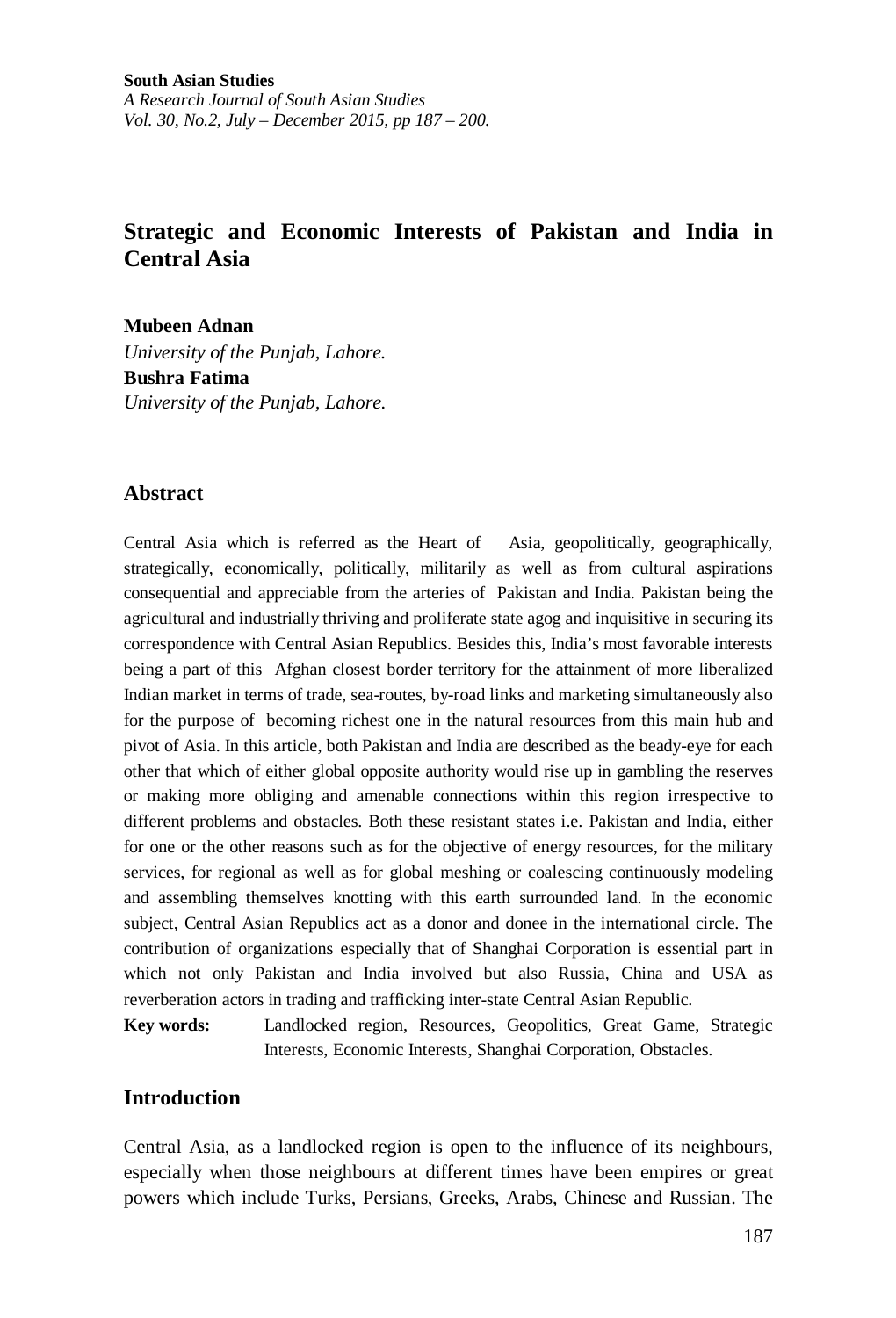**South Asian Studies** *A Research Journal of South Asian Studies Vol. 30, No.2, July – December 2015, pp 187 – 200.*

# **Strategic and Economic Interests of Pakistan and India in Central Asia**

**Mubeen Adnan**  *University of the Punjab, Lahore.* **Bushra Fatima** *University of the Punjab, Lahore.*

### **Abstract**

Central Asia which is referred as the Heart of Asia, geopolitically, geographically, strategically, economically, politically, militarily as well as from cultural aspirations consequential and appreciable from the arteries of Pakistan and India. Pakistan being the agricultural and industrially thriving and proliferate state agog and inquisitive in securing its correspondence with Central Asian Republics. Besides this, India's most favorable interests being a part of this Afghan closest border territory for the attainment of more liberalized Indian market in terms of trade, sea-routes, by-road links and marketing simultaneously also for the purpose of becoming richest one in the natural resources from this main hub and pivot of Asia. In this article, both Pakistan and India are described as the beady-eye for each other that which of either global opposite authority would rise up in gambling the reserves or making more obliging and amenable connections within this region irrespective to different problems and obstacles. Both these resistant states i.e. Pakistan and India, either for one or the other reasons such as for the objective of energy resources, for the military services, for regional as well as for global meshing or coalescing continuously modeling and assembling themselves knotting with this earth surrounded land. In the economic subject, Central Asian Republics act as a donor and donee in the international circle. The contribution of organizations especially that of Shanghai Corporation is essential part in which not only Pakistan and India involved but also Russia, China and USA as reverberation actors in trading and trafficking inter-state Central Asian Republic.

**Key words:** Landlocked region, Resources, Geopolitics, Great Game, Strategic Interests, Economic Interests, Shanghai Corporation, Obstacles.

### **Introduction**

Central Asia, as a landlocked region is open to the influence of its neighbours, especially when those neighbours at different times have been empires or great powers which include Turks, Persians, Greeks, Arabs, Chinese and Russian. The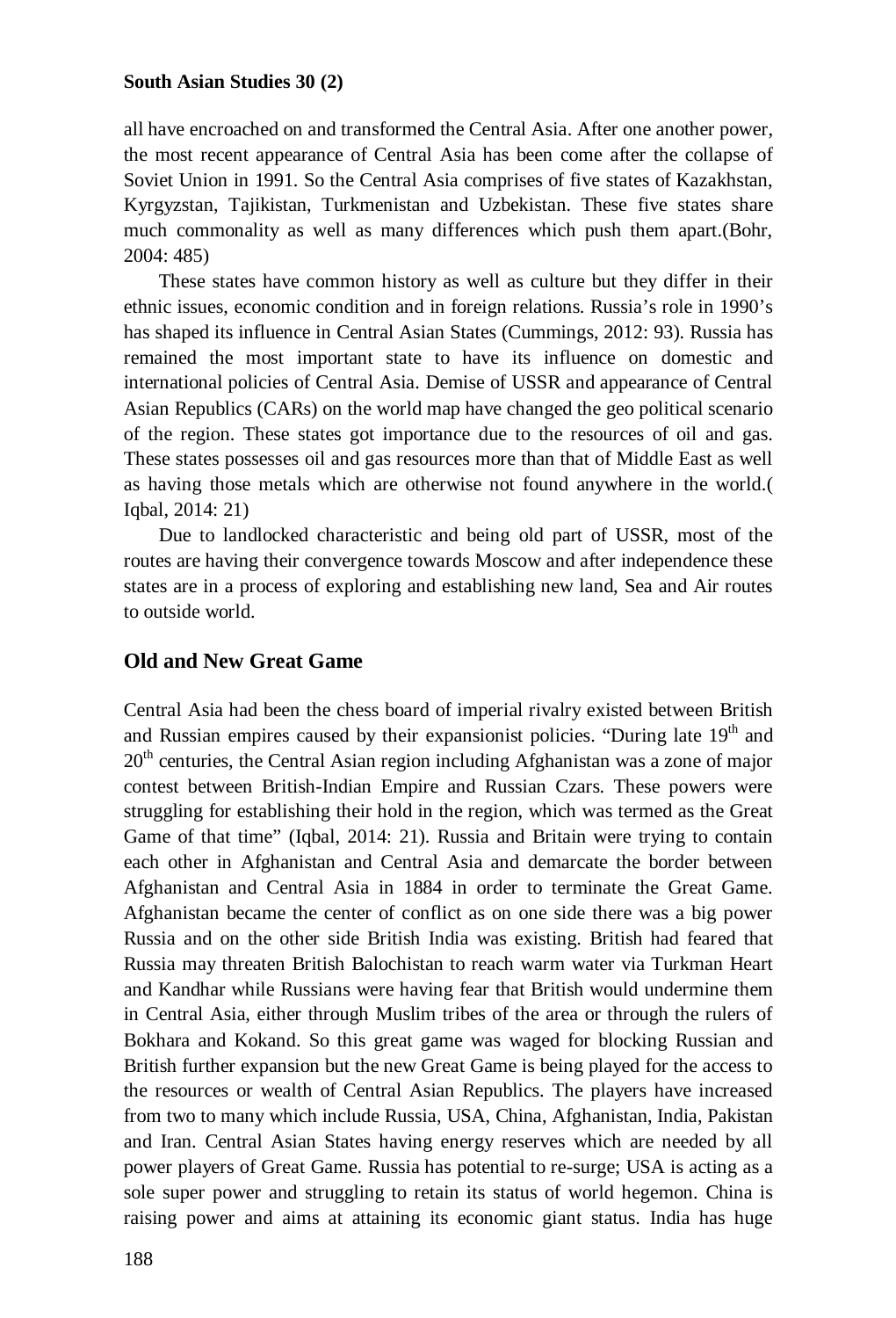all have encroached on and transformed the Central Asia. After one another power, the most recent appearance of Central Asia has been come after the collapse of Soviet Union in 1991. So the Central Asia comprises of five states of Kazakhstan, Kyrgyzstan, Tajikistan, Turkmenistan and Uzbekistan. These five states share much commonality as well as many differences which push them apart.(Bohr, 2004: 485)

These states have common history as well as culture but they differ in their ethnic issues, economic condition and in foreign relations. Russia's role in 1990's has shaped its influence in Central Asian States (Cummings, 2012: 93). Russia has remained the most important state to have its influence on domestic and international policies of Central Asia. Demise of USSR and appearance of Central Asian Republics (CARs) on the world map have changed the geo political scenario of the region. These states got importance due to the resources of oil and gas. These states possesses oil and gas resources more than that of Middle East as well as having those metals which are otherwise not found anywhere in the world.( Iqbal, 2014: 21)

Due to landlocked characteristic and being old part of USSR, most of the routes are having their convergence towards Moscow and after independence these states are in a process of exploring and establishing new land, Sea and Air routes to outside world.

## **Old and New Great Game**

Central Asia had been the chess board of imperial rivalry existed between British and Russian empires caused by their expansionist policies. "During late  $19<sup>th</sup>$  and  $20<sup>th</sup>$  centuries, the Central Asian region including Afghanistan was a zone of major contest between British-Indian Empire and Russian Czars. These powers were struggling for establishing their hold in the region, which was termed as the Great Game of that time" (Iqbal, 2014: 21). Russia and Britain were trying to contain each other in Afghanistan and Central Asia and demarcate the border between Afghanistan and Central Asia in 1884 in order to terminate the Great Game. Afghanistan became the center of conflict as on one side there was a big power Russia and on the other side British India was existing. British had feared that Russia may threaten British Balochistan to reach warm water via Turkman Heart and Kandhar while Russians were having fear that British would undermine them in Central Asia, either through Muslim tribes of the area or through the rulers of Bokhara and Kokand. So this great game was waged for blocking Russian and British further expansion but the new Great Game is being played for the access to the resources or wealth of Central Asian Republics. The players have increased from two to many which include Russia, USA, China, Afghanistan, India, Pakistan and Iran. Central Asian States having energy reserves which are needed by all power players of Great Game. Russia has potential to re-surge; USA is acting as a sole super power and struggling to retain its status of world hegemon. China is raising power and aims at attaining its economic giant status. India has huge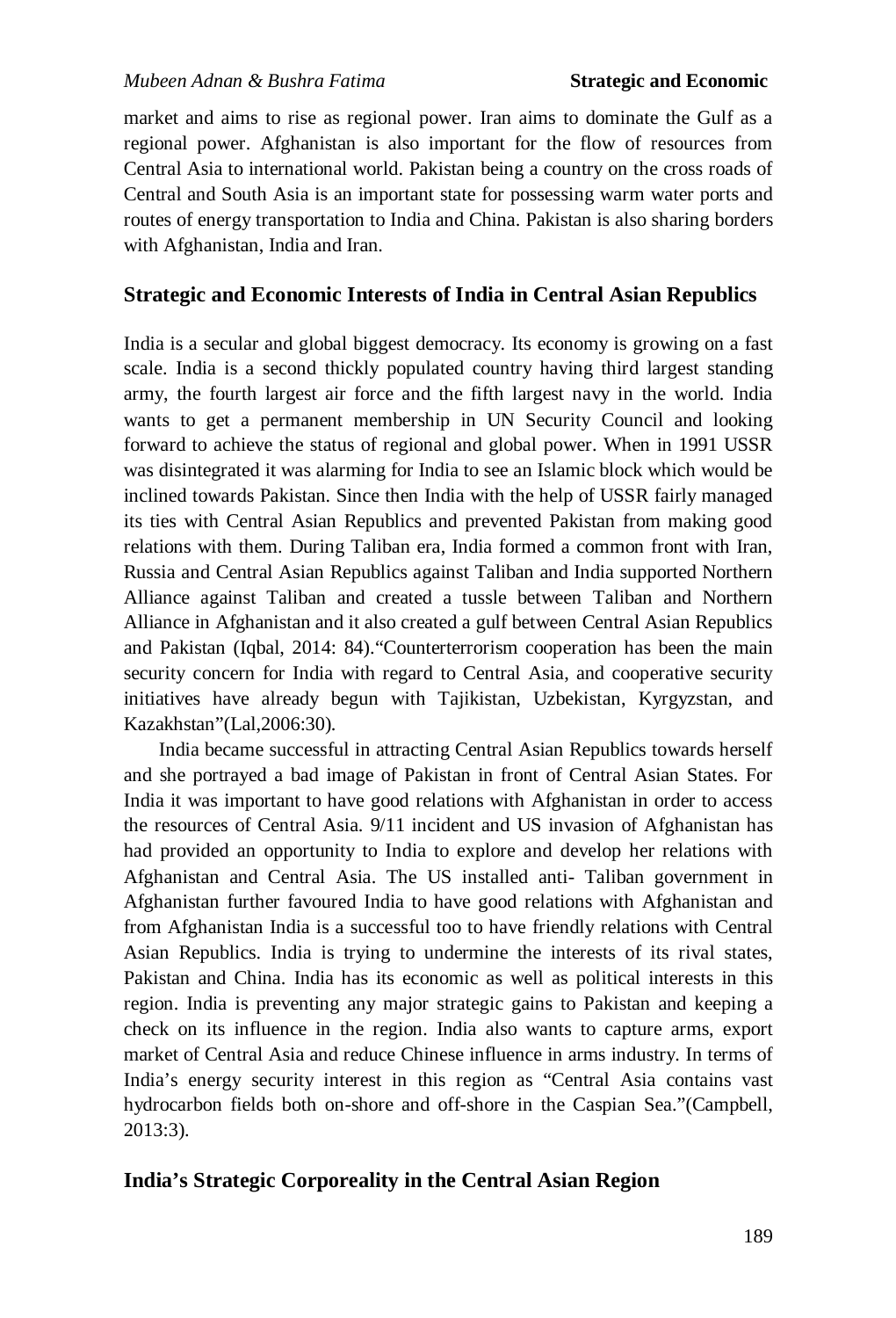market and aims to rise as regional power. Iran aims to dominate the Gulf as a regional power. Afghanistan is also important for the flow of resources from Central Asia to international world. Pakistan being a country on the cross roads of Central and South Asia is an important state for possessing warm water ports and routes of energy transportation to India and China. Pakistan is also sharing borders with Afghanistan, India and Iran.

### **Strategic and Economic Interests of India in Central Asian Republics**

India is a secular and global biggest democracy. Its economy is growing on a fast scale. India is a second thickly populated country having third largest standing army, the fourth largest air force and the fifth largest navy in the world. India wants to get a permanent membership in UN Security Council and looking forward to achieve the status of regional and global power. When in 1991 USSR was disintegrated it was alarming for India to see an Islamic block which would be inclined towards Pakistan. Since then India with the help of USSR fairly managed its ties with Central Asian Republics and prevented Pakistan from making good relations with them. During Taliban era, India formed a common front with Iran, Russia and Central Asian Republics against Taliban and India supported Northern Alliance against Taliban and created a tussle between Taliban and Northern Alliance in Afghanistan and it also created a gulf between Central Asian Republics and Pakistan (Iqbal, 2014: 84)."Counterterrorism cooperation has been the main security concern for India with regard to Central Asia, and cooperative security initiatives have already begun with Tajikistan, Uzbekistan, Kyrgyzstan, and Kazakhstan"(Lal,2006:30).

India became successful in attracting Central Asian Republics towards herself and she portrayed a bad image of Pakistan in front of Central Asian States. For India it was important to have good relations with Afghanistan in order to access the resources of Central Asia. 9/11 incident and US invasion of Afghanistan has had provided an opportunity to India to explore and develop her relations with Afghanistan and Central Asia. The US installed anti- Taliban government in Afghanistan further favoured India to have good relations with Afghanistan and from Afghanistan India is a successful too to have friendly relations with Central Asian Republics. India is trying to undermine the interests of its rival states, Pakistan and China. India has its economic as well as political interests in this region. India is preventing any major strategic gains to Pakistan and keeping a check on its influence in the region. India also wants to capture arms, export market of Central Asia and reduce Chinese influence in arms industry. In terms of India's energy security interest in this region as "Central Asia contains vast hydrocarbon fields both on-shore and off-shore in the Caspian Sea."(Campbell, 2013:3).

### **India's Strategic Corporeality in the Central Asian Region**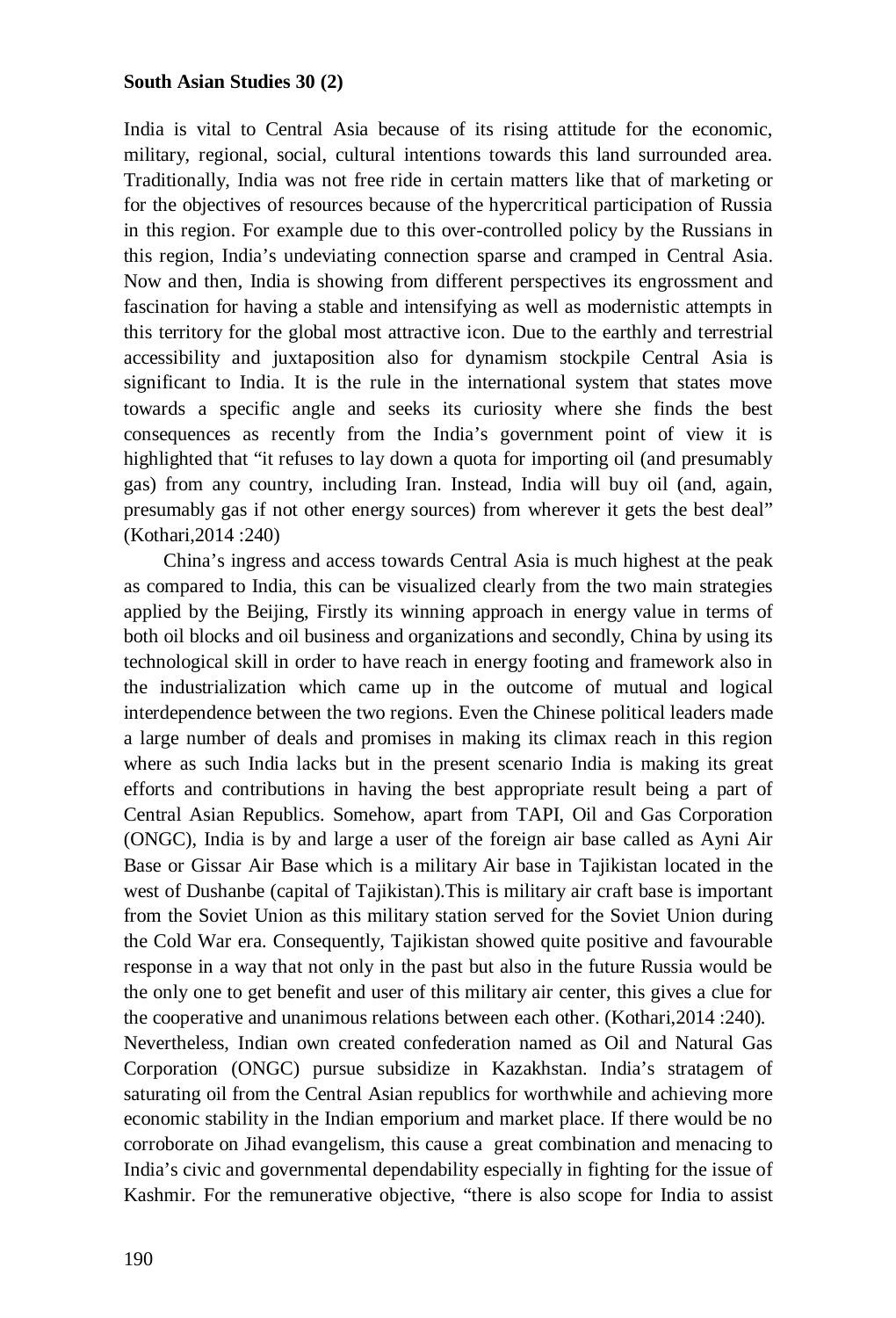India is vital to Central Asia because of its rising attitude for the economic, military, regional, social, cultural intentions towards this land surrounded area. Traditionally, India was not free ride in certain matters like that of marketing or for the objectives of resources because of the hypercritical participation of Russia in this region. For example due to this over-controlled policy by the Russians in this region, India's undeviating connection sparse and cramped in Central Asia. Now and then, India is showing from different perspectives its engrossment and fascination for having a stable and intensifying as well as modernistic attempts in this territory for the global most attractive icon. Due to the earthly and terrestrial accessibility and juxtaposition also for dynamism stockpile Central Asia is significant to India. It is the rule in the international system that states move towards a specific angle and seeks its curiosity where she finds the best consequences as recently from the India's government point of view it is highlighted that "it refuses to lay down a quota for importing oil (and presumably gas) from any country, including Iran. Instead, India will buy oil (and, again, presumably gas if not other energy sources) from wherever it gets the best deal" (Kothari,2014 :240)

China's ingress and access towards Central Asia is much highest at the peak as compared to India, this can be visualized clearly from the two main strategies applied by the Beijing, Firstly its winning approach in energy value in terms of both oil blocks and oil business and organizations and secondly, China by using its technological skill in order to have reach in energy footing and framework also in the industrialization which came up in the outcome of mutual and logical interdependence between the two regions. Even the Chinese political leaders made a large number of deals and promises in making its climax reach in this region where as such India lacks but in the present scenario India is making its great efforts and contributions in having the best appropriate result being a part of Central Asian Republics. Somehow, apart from TAPI, Oil and Gas Corporation (ONGC), India is by and large a user of the foreign air base called as Ayni Air Base or Gissar Air Base which is a military Air base in Tajikistan located in the west of Dushanbe (capital of Tajikistan).This is military air craft base is important from the Soviet Union as this military station served for the Soviet Union during the Cold War era. Consequently, Tajikistan showed quite positive and favourable response in a way that not only in the past but also in the future Russia would be the only one to get benefit and user of this military air center, this gives a clue for the cooperative and unanimous relations between each other. (Kothari,2014 :240). Nevertheless, Indian own created confederation named as Oil and Natural Gas Corporation (ONGC) pursue subsidize in Kazakhstan. India's stratagem of saturating oil from the Central Asian republics for worthwhile and achieving more economic stability in the Indian emporium and market place. If there would be no corroborate on Jihad evangelism, this cause a great combination and menacing to India's civic and governmental dependability especially in fighting for the issue of Kashmir. For the remunerative objective, "there is also scope for India to assist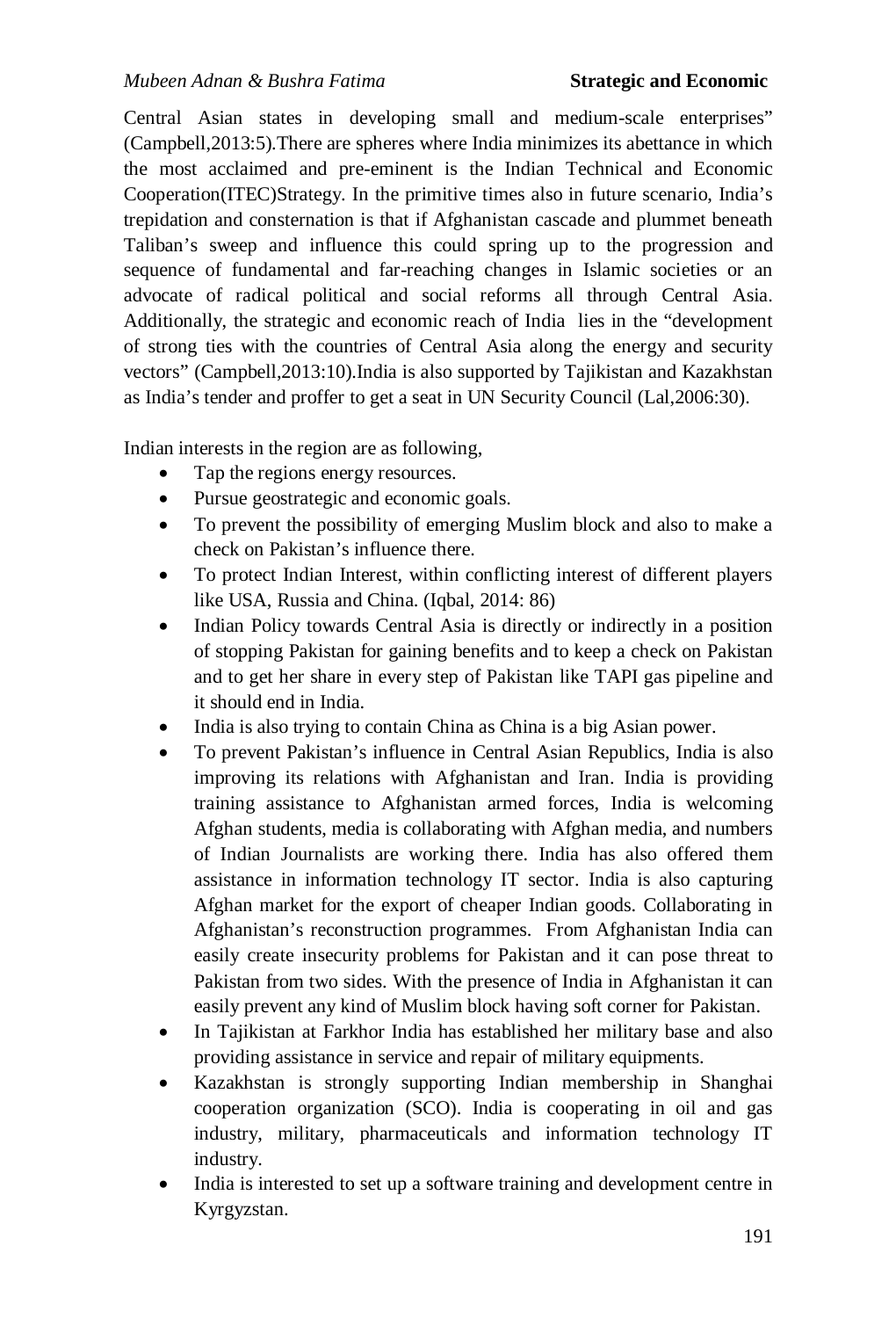Central Asian states in developing small and medium-scale enterprises" (Campbell,2013:5).There are spheres where India minimizes its abettance in which the most acclaimed and pre-eminent is the Indian Technical and Economic Cooperation(ITEC)Strategy. In the primitive times also in future scenario, India's trepidation and consternation is that if Afghanistan cascade and plummet beneath Taliban's sweep and influence this could spring up to the progression and sequence of fundamental and far-reaching changes in Islamic societies or an advocate of radical political and social reforms all through Central Asia. Additionally, the strategic and economic reach of India lies in the "development of strong ties with the countries of Central Asia along the energy and security vectors" (Campbell,2013:10).India is also supported by Tajikistan and Kazakhstan as India's tender and proffer to get a seat in UN Security Council (Lal,2006:30).

Indian interests in the region are as following,

- Tap the regions energy resources.
- Pursue geostrategic and economic goals.
- To prevent the possibility of emerging Muslim block and also to make a check on Pakistan's influence there.
- To protect Indian Interest, within conflicting interest of different players like USA, Russia and China. (Iqbal, 2014: 86)
- Indian Policy towards Central Asia is directly or indirectly in a position of stopping Pakistan for gaining benefits and to keep a check on Pakistan and to get her share in every step of Pakistan like TAPI gas pipeline and it should end in India.
- India is also trying to contain China as China is a big Asian power.
- To prevent Pakistan's influence in Central Asian Republics, India is also improving its relations with Afghanistan and Iran. India is providing training assistance to Afghanistan armed forces, India is welcoming Afghan students, media is collaborating with Afghan media, and numbers of Indian Journalists are working there. India has also offered them assistance in information technology IT sector. India is also capturing Afghan market for the export of cheaper Indian goods. Collaborating in Afghanistan's reconstruction programmes. From Afghanistan India can easily create insecurity problems for Pakistan and it can pose threat to Pakistan from two sides. With the presence of India in Afghanistan it can easily prevent any kind of Muslim block having soft corner for Pakistan.
- In Tajikistan at Farkhor India has established her military base and also providing assistance in service and repair of military equipments.
- Kazakhstan is strongly supporting Indian membership in Shanghai cooperation organization (SCO). India is cooperating in oil and gas industry, military, pharmaceuticals and information technology IT industry.
- India is interested to set up a software training and development centre in Kyrgyzstan.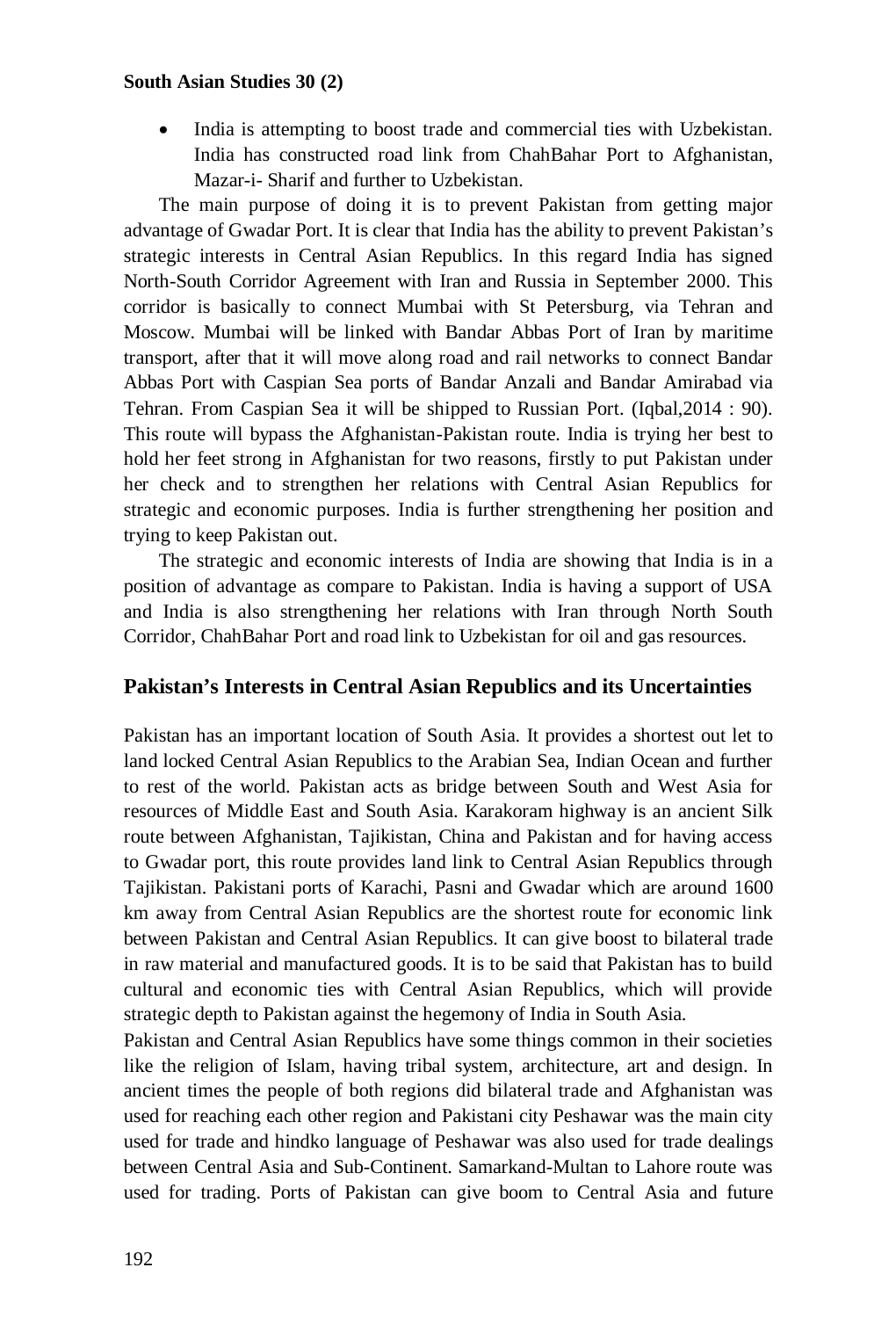India is attempting to boost trade and commercial ties with Uzbekistan. India has constructed road link from ChahBahar Port to Afghanistan, Mazar-i- Sharif and further to Uzbekistan.

The main purpose of doing it is to prevent Pakistan from getting major advantage of Gwadar Port. It is clear that India has the ability to prevent Pakistan's strategic interests in Central Asian Republics. In this regard India has signed North-South Corridor Agreement with Iran and Russia in September 2000. This corridor is basically to connect Mumbai with St Petersburg, via Tehran and Moscow. Mumbai will be linked with Bandar Abbas Port of Iran by maritime transport, after that it will move along road and rail networks to connect Bandar Abbas Port with Caspian Sea ports of Bandar Anzali and Bandar Amirabad via Tehran. From Caspian Sea it will be shipped to Russian Port. (Iqbal,2014 : 90). This route will bypass the Afghanistan-Pakistan route. India is trying her best to hold her feet strong in Afghanistan for two reasons, firstly to put Pakistan under her check and to strengthen her relations with Central Asian Republics for strategic and economic purposes. India is further strengthening her position and trying to keep Pakistan out.

The strategic and economic interests of India are showing that India is in a position of advantage as compare to Pakistan. India is having a support of USA and India is also strengthening her relations with Iran through North South Corridor, ChahBahar Port and road link to Uzbekistan for oil and gas resources.

## **Pakistan's Interests in Central Asian Republics and its Uncertainties**

Pakistan has an important location of South Asia. It provides a shortest out let to land locked Central Asian Republics to the Arabian Sea, Indian Ocean and further to rest of the world. Pakistan acts as bridge between South and West Asia for resources of Middle East and South Asia. Karakoram highway is an ancient Silk route between Afghanistan, Tajikistan, China and Pakistan and for having access to Gwadar port, this route provides land link to Central Asian Republics through Tajikistan. Pakistani ports of Karachi, Pasni and Gwadar which are around 1600 km away from Central Asian Republics are the shortest route for economic link between Pakistan and Central Asian Republics. It can give boost to bilateral trade in raw material and manufactured goods. It is to be said that Pakistan has to build cultural and economic ties with Central Asian Republics, which will provide strategic depth to Pakistan against the hegemony of India in South Asia.

Pakistan and Central Asian Republics have some things common in their societies like the religion of Islam, having tribal system, architecture, art and design. In ancient times the people of both regions did bilateral trade and Afghanistan was used for reaching each other region and Pakistani city Peshawar was the main city used for trade and hindko language of Peshawar was also used for trade dealings between Central Asia and Sub-Continent. Samarkand-Multan to Lahore route was used for trading. Ports of Pakistan can give boom to Central Asia and future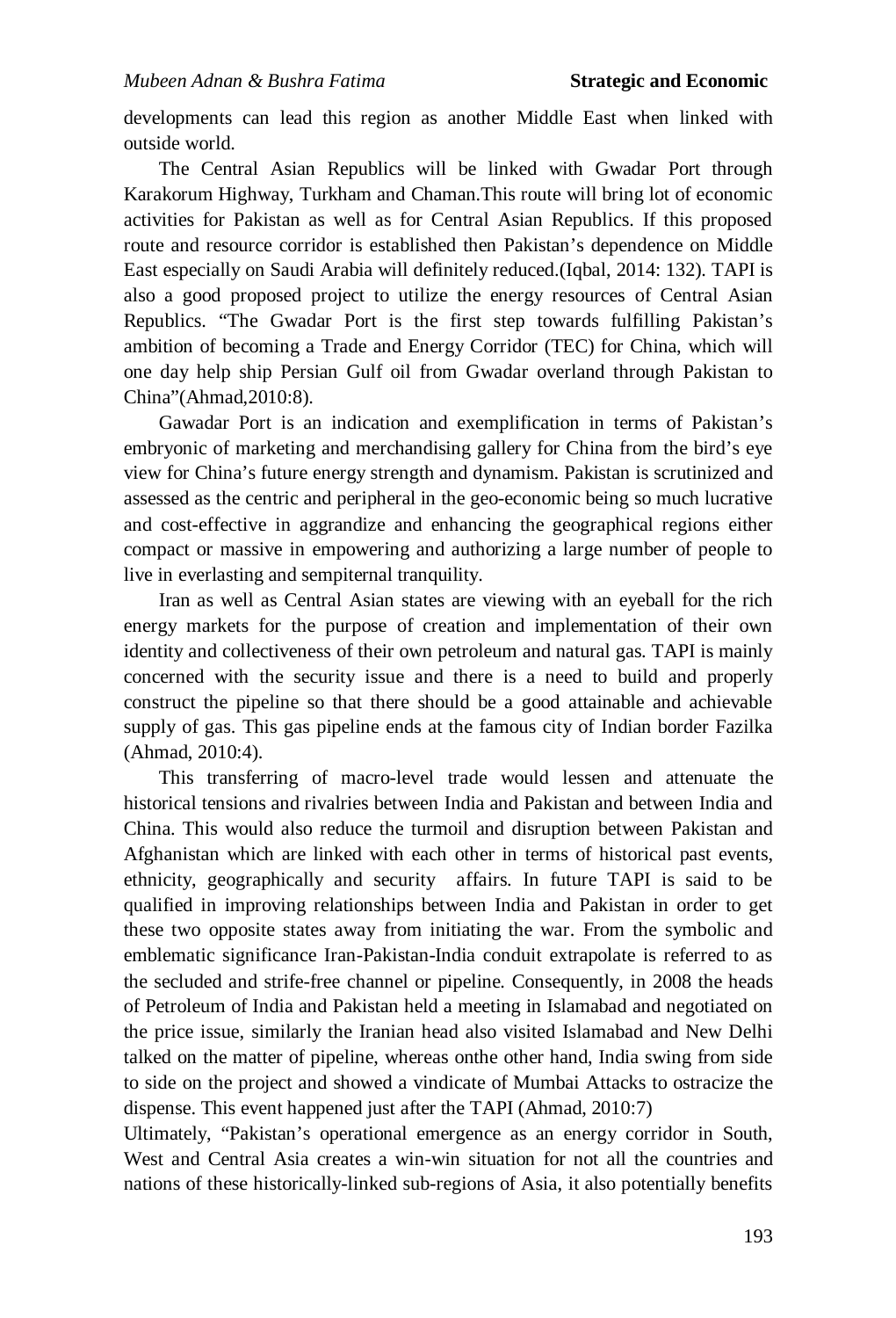developments can lead this region as another Middle East when linked with outside world.

The Central Asian Republics will be linked with Gwadar Port through Karakorum Highway, Turkham and Chaman.This route will bring lot of economic activities for Pakistan as well as for Central Asian Republics. If this proposed route and resource corridor is established then Pakistan's dependence on Middle East especially on Saudi Arabia will definitely reduced.(Iqbal, 2014: 132). TAPI is also a good proposed project to utilize the energy resources of Central Asian Republics. "The Gwadar Port is the first step towards fulfilling Pakistan's ambition of becoming a Trade and Energy Corridor (TEC) for China, which will one day help ship Persian Gulf oil from Gwadar overland through Pakistan to China"(Ahmad,2010:8).

Gawadar Port is an indication and exemplification in terms of Pakistan's embryonic of marketing and merchandising gallery for China from the bird's eye view for China's future energy strength and dynamism. Pakistan is scrutinized and assessed as the centric and peripheral in the geo-economic being so much lucrative and cost-effective in aggrandize and enhancing the geographical regions either compact or massive in empowering and authorizing a large number of people to live in everlasting and sempiternal tranquility.

Iran as well as Central Asian states are viewing with an eyeball for the rich energy markets for the purpose of creation and implementation of their own identity and collectiveness of their own petroleum and natural gas. TAPI is mainly concerned with the security issue and there is a need to build and properly construct the pipeline so that there should be a good attainable and achievable supply of gas. This gas pipeline ends at the famous city of Indian border Fazilka (Ahmad, 2010:4).

This transferring of macro-level trade would lessen and attenuate the historical tensions and rivalries between India and Pakistan and between India and China. This would also reduce the turmoil and disruption between Pakistan and Afghanistan which are linked with each other in terms of historical past events, ethnicity, geographically and security affairs. In future TAPI is said to be qualified in improving relationships between India and Pakistan in order to get these two opposite states away from initiating the war. From the symbolic and emblematic significance Iran-Pakistan-India conduit extrapolate is referred to as the secluded and strife-free channel or pipeline. Consequently, in 2008 the heads of Petroleum of India and Pakistan held a meeting in Islamabad and negotiated on the price issue, similarly the Iranian head also visited Islamabad and New Delhi talked on the matter of pipeline, whereas onthe other hand, India swing from side to side on the project and showed a vindicate of Mumbai Attacks to ostracize the dispense. This event happened just after the TAPI (Ahmad, 2010:7)

Ultimately, "Pakistan's operational emergence as an energy corridor in South, West and Central Asia creates a win-win situation for not all the countries and nations of these historically-linked sub-regions of Asia, it also potentially benefits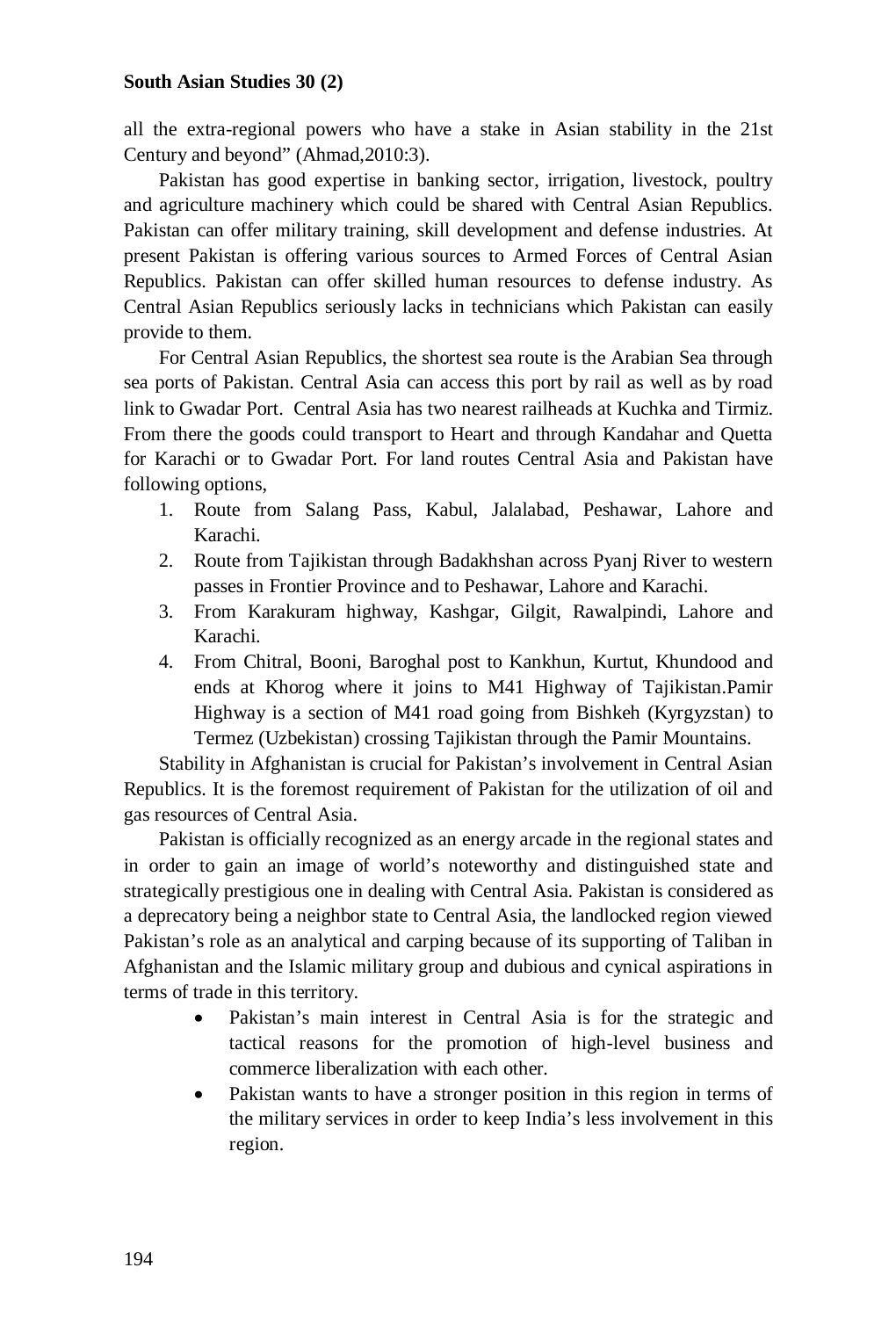all the extra-regional powers who have a stake in Asian stability in the 21st Century and beyond" (Ahmad,2010:3).

Pakistan has good expertise in banking sector, irrigation, livestock, poultry and agriculture machinery which could be shared with Central Asian Republics. Pakistan can offer military training, skill development and defense industries. At present Pakistan is offering various sources to Armed Forces of Central Asian Republics. Pakistan can offer skilled human resources to defense industry. As Central Asian Republics seriously lacks in technicians which Pakistan can easily provide to them.

For Central Asian Republics, the shortest sea route is the Arabian Sea through sea ports of Pakistan. Central Asia can access this port by rail as well as by road link to Gwadar Port. Central Asia has two nearest railheads at Kuchka and Tirmiz. From there the goods could transport to Heart and through Kandahar and Quetta for Karachi or to Gwadar Port. For land routes Central Asia and Pakistan have following options,

- 1. Route from Salang Pass, Kabul, Jalalabad, Peshawar, Lahore and Karachi.
- 2. Route from Tajikistan through Badakhshan across Pyanj River to western passes in Frontier Province and to Peshawar, Lahore and Karachi.
- 3. From Karakuram highway, Kashgar, Gilgit, Rawalpindi, Lahore and Karachi.
- 4. From Chitral, Booni, Baroghal post to Kankhun, Kurtut, Khundood and ends at Khorog where it joins to M41 Highway of Tajikistan.Pamir Highway is a section of M41 road going from Bishkeh (Kyrgyzstan) to Termez (Uzbekistan) crossing Tajikistan through the Pamir Mountains.

Stability in Afghanistan is crucial for Pakistan's involvement in Central Asian Republics. It is the foremost requirement of Pakistan for the utilization of oil and gas resources of Central Asia.

Pakistan is officially recognized as an energy arcade in the regional states and in order to gain an image of world's noteworthy and distinguished state and strategically prestigious one in dealing with Central Asia. Pakistan is considered as a deprecatory being a neighbor state to Central Asia, the landlocked region viewed Pakistan's role as an analytical and carping because of its supporting of Taliban in Afghanistan and the Islamic military group and dubious and cynical aspirations in terms of trade in this territory.

- Pakistan's main interest in Central Asia is for the strategic and tactical reasons for the promotion of high-level business and commerce liberalization with each other.
- Pakistan wants to have a stronger position in this region in terms of the military services in order to keep India's less involvement in this region.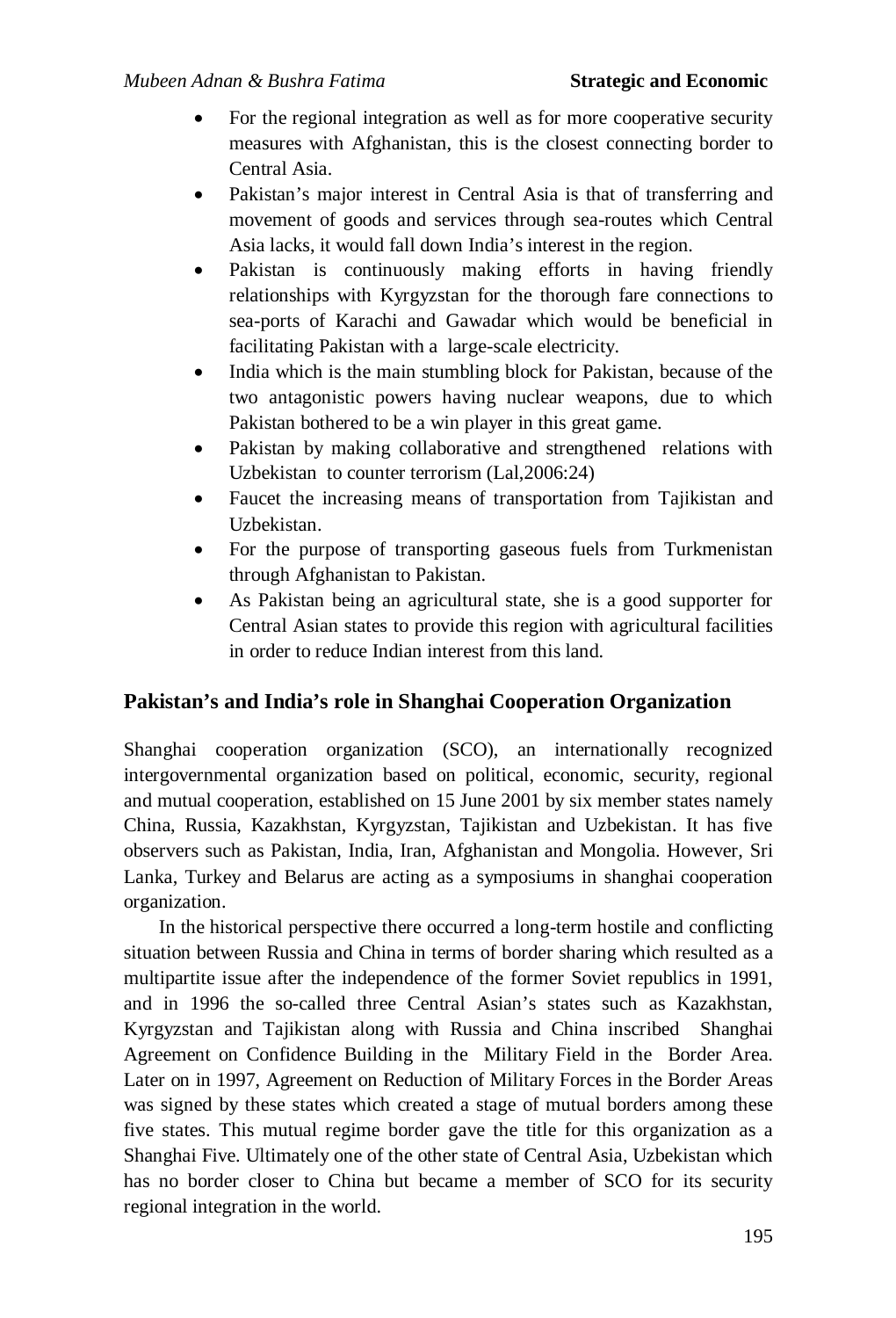- For the regional integration as well as for more cooperative security measures with Afghanistan, this is the closest connecting border to Central Asia.
- Pakistan's major interest in Central Asia is that of transferring and movement of goods and services through sea-routes which Central Asia lacks, it would fall down India's interest in the region.
- Pakistan is continuously making efforts in having friendly relationships with Kyrgyzstan for the thorough fare connections to sea-ports of Karachi and Gawadar which would be beneficial in facilitating Pakistan with a large-scale electricity.
- India which is the main stumbling block for Pakistan, because of the two antagonistic powers having nuclear weapons, due to which Pakistan bothered to be a win player in this great game.
- Pakistan by making collaborative and strengthened relations with Uzbekistan to counter terrorism (Lal,2006:24)
- Faucet the increasing means of transportation from Tajikistan and Uzbekistan.
- For the purpose of transporting gaseous fuels from Turkmenistan through Afghanistan to Pakistan.
- As Pakistan being an agricultural state, she is a good supporter for Central Asian states to provide this region with agricultural facilities in order to reduce Indian interest from this land.

## **Pakistan's and India's role in Shanghai Cooperation Organization**

Shanghai cooperation organization (SCO), an internationally recognized intergovernmental organization based on political, economic, security, regional and mutual cooperation, established on 15 June 2001 by six member states namely China, Russia, Kazakhstan, Kyrgyzstan, Tajikistan and Uzbekistan. It has five observers such as Pakistan, India, Iran, Afghanistan and Mongolia. However, Sri Lanka, Turkey and Belarus are acting as a symposiums in shanghai cooperation organization.

In the historical perspective there occurred a long-term hostile and conflicting situation between Russia and China in terms of border sharing which resulted as a multipartite issue after the independence of the former Soviet republics in 1991, and in 1996 the so-called three Central Asian's states such as Kazakhstan, Kyrgyzstan and Tajikistan along with Russia and China inscribed Shanghai Agreement on Confidence Building in the Military Field in the Border Area. Later on in 1997, Agreement on Reduction of Military Forces in the Border Areas was signed by these states which created a stage of mutual borders among these five states. This mutual regime border gave the title for this organization as a Shanghai Five. Ultimately one of the other state of Central Asia, Uzbekistan which has no border closer to China but became a member of SCO for its security regional integration in the world.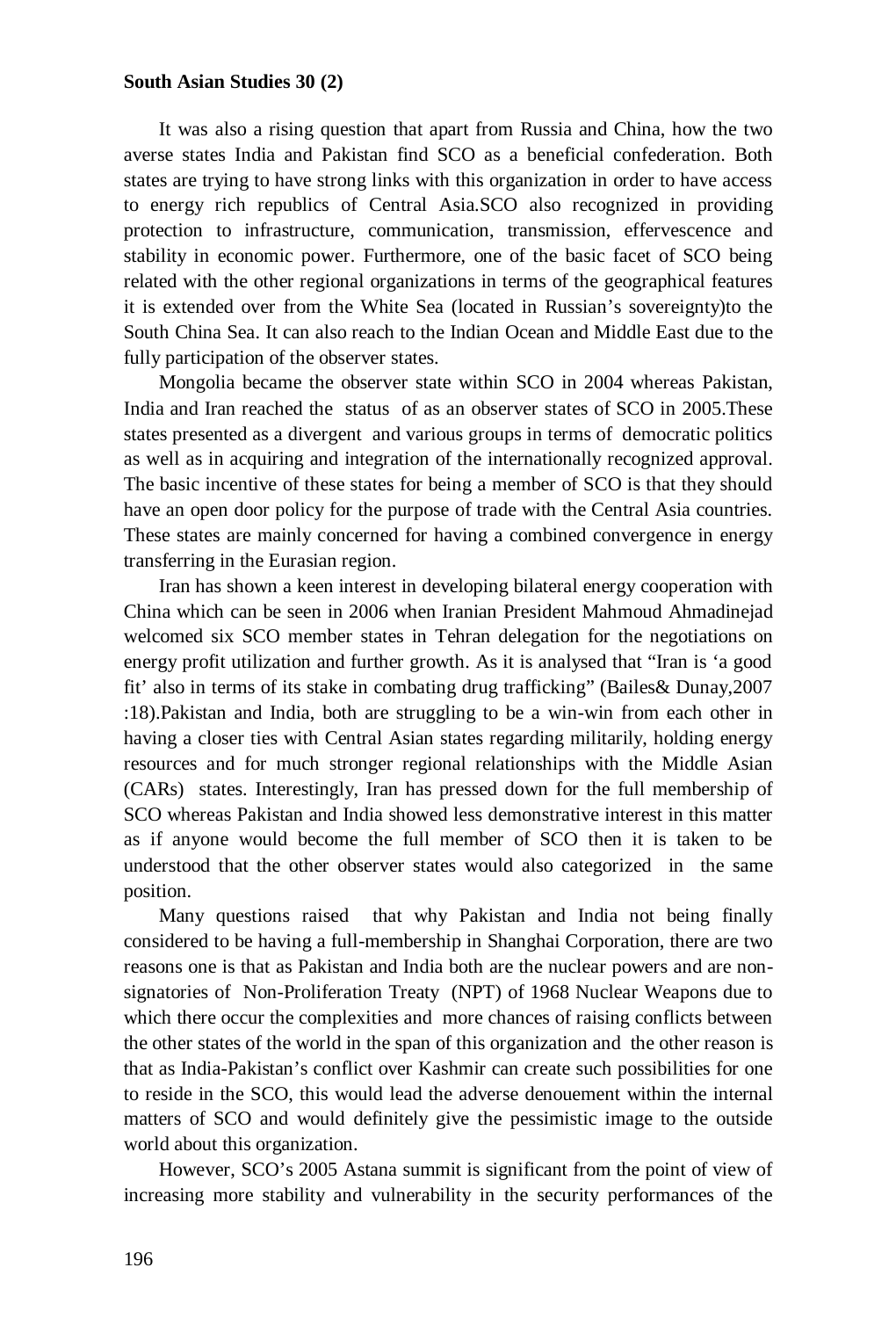It was also a rising question that apart from Russia and China, how the two averse states India and Pakistan find SCO as a beneficial confederation. Both states are trying to have strong links with this organization in order to have access to energy rich republics of Central Asia.SCO also recognized in providing protection to infrastructure, communication, transmission, effervescence and stability in economic power. Furthermore, one of the basic facet of SCO being related with the other regional organizations in terms of the geographical features it is extended over from the White Sea (located in Russian's sovereignty)to the South China Sea. It can also reach to the Indian Ocean and Middle East due to the fully participation of the observer states.

Mongolia became the observer state within SCO in 2004 whereas Pakistan, India and Iran reached the status of as an observer states of SCO in 2005.These states presented as a divergent and various groups in terms of democratic politics as well as in acquiring and integration of the internationally recognized approval. The basic incentive of these states for being a member of SCO is that they should have an open door policy for the purpose of trade with the Central Asia countries. These states are mainly concerned for having a combined convergence in energy transferring in the Eurasian region.

Iran has shown a keen interest in developing bilateral energy cooperation with China which can be seen in 2006 when Iranian President Mahmoud Ahmadinejad welcomed six SCO member states in Tehran delegation for the negotiations on energy profit utilization and further growth. As it is analysed that "Iran is 'a good fit' also in terms of its stake in combating drug trafficking" (Bailes& Dunay,2007 :18).Pakistan and India, both are struggling to be a win-win from each other in having a closer ties with Central Asian states regarding militarily, holding energy resources and for much stronger regional relationships with the Middle Asian (CARs) states. Interestingly, Iran has pressed down for the full membership of SCO whereas Pakistan and India showed less demonstrative interest in this matter as if anyone would become the full member of SCO then it is taken to be understood that the other observer states would also categorized in the same position.

Many questions raised that why Pakistan and India not being finally considered to be having a full-membership in Shanghai Corporation, there are two reasons one is that as Pakistan and India both are the nuclear powers and are nonsignatories of Non-Proliferation Treaty (NPT) of 1968 Nuclear Weapons due to which there occur the complexities and more chances of raising conflicts between the other states of the world in the span of this organization and the other reason is that as India-Pakistan's conflict over Kashmir can create such possibilities for one to reside in the SCO, this would lead the adverse denouement within the internal matters of SCO and would definitely give the pessimistic image to the outside world about this organization.

However, SCO's 2005 Astana summit is significant from the point of view of increasing more stability and vulnerability in the security performances of the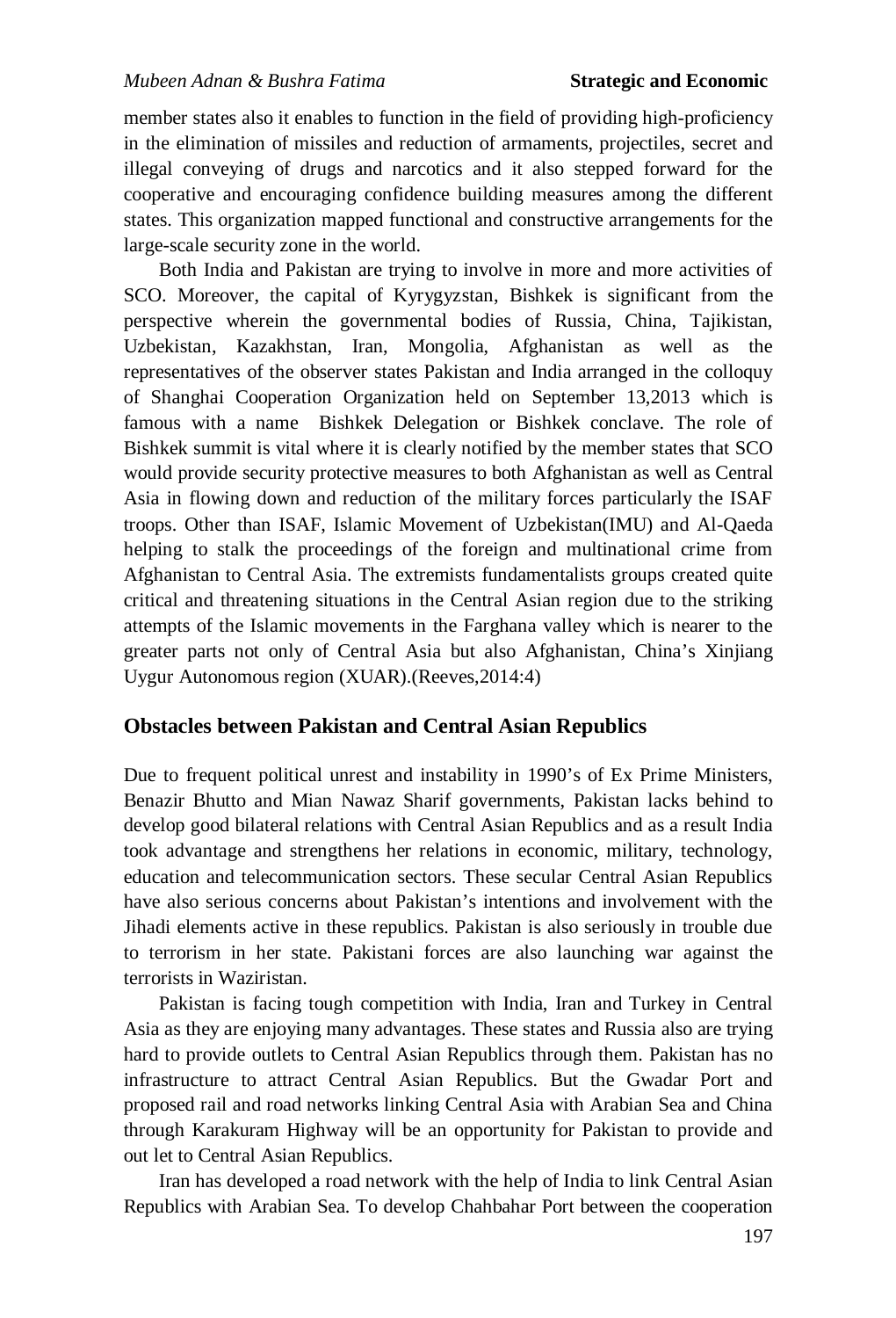member states also it enables to function in the field of providing high-proficiency in the elimination of missiles and reduction of armaments, projectiles, secret and illegal conveying of drugs and narcotics and it also stepped forward for the cooperative and encouraging confidence building measures among the different states. This organization mapped functional and constructive arrangements for the large-scale security zone in the world.

Both India and Pakistan are trying to involve in more and more activities of SCO. Moreover, the capital of Kyrygyzstan, Bishkek is significant from the perspective wherein the governmental bodies of Russia, China, Tajikistan, Uzbekistan, Kazakhstan, Iran, Mongolia, Afghanistan as well as the representatives of the observer states Pakistan and India arranged in the colloquy of Shanghai Cooperation Organization held on September 13,2013 which is famous with a name Bishkek Delegation or Bishkek conclave. The role of Bishkek summit is vital where it is clearly notified by the member states that SCO would provide security protective measures to both Afghanistan as well as Central Asia in flowing down and reduction of the military forces particularly the ISAF troops. Other than ISAF, Islamic Movement of Uzbekistan(IMU) and Al-Qaeda helping to stalk the proceedings of the foreign and multinational crime from Afghanistan to Central Asia. The extremists fundamentalists groups created quite critical and threatening situations in the Central Asian region due to the striking attempts of the Islamic movements in the Farghana valley which is nearer to the greater parts not only of Central Asia but also Afghanistan, China's Xinjiang Uygur Autonomous region (XUAR).(Reeves,2014:4)

#### **Obstacles between Pakistan and Central Asian Republics**

Due to frequent political unrest and instability in 1990's of Ex Prime Ministers, Benazir Bhutto and Mian Nawaz Sharif governments, Pakistan lacks behind to develop good bilateral relations with Central Asian Republics and as a result India took advantage and strengthens her relations in economic, military, technology, education and telecommunication sectors. These secular Central Asian Republics have also serious concerns about Pakistan's intentions and involvement with the Jihadi elements active in these republics. Pakistan is also seriously in trouble due to terrorism in her state. Pakistani forces are also launching war against the terrorists in Waziristan.

Pakistan is facing tough competition with India, Iran and Turkey in Central Asia as they are enjoying many advantages. These states and Russia also are trying hard to provide outlets to Central Asian Republics through them. Pakistan has no infrastructure to attract Central Asian Republics. But the Gwadar Port and proposed rail and road networks linking Central Asia with Arabian Sea and China through Karakuram Highway will be an opportunity for Pakistan to provide and out let to Central Asian Republics.

Iran has developed a road network with the help of India to link Central Asian Republics with Arabian Sea. To develop Chahbahar Port between the cooperation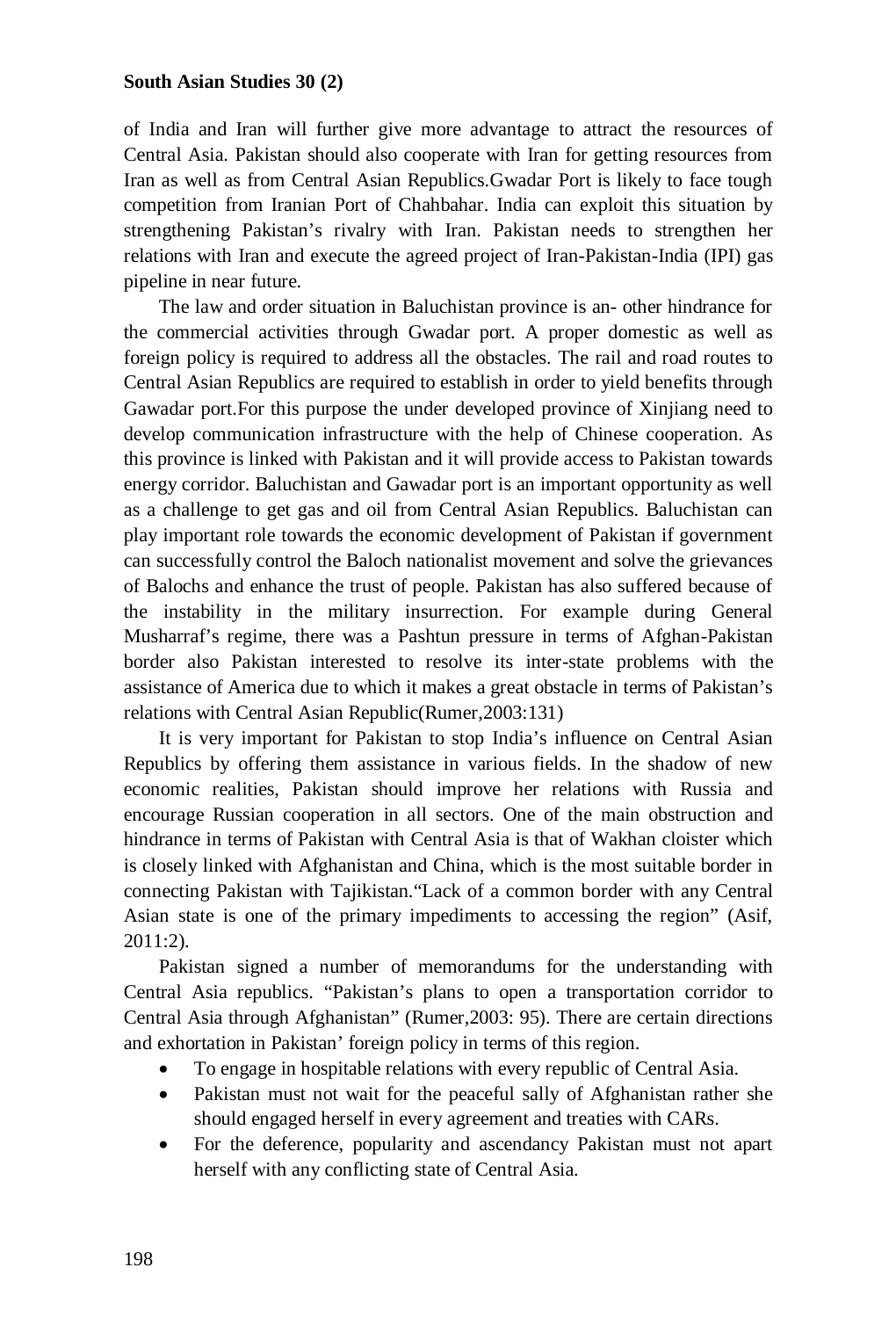of India and Iran will further give more advantage to attract the resources of Central Asia. Pakistan should also cooperate with Iran for getting resources from Iran as well as from Central Asian Republics.Gwadar Port is likely to face tough competition from Iranian Port of Chahbahar. India can exploit this situation by strengthening Pakistan's rivalry with Iran. Pakistan needs to strengthen her relations with Iran and execute the agreed project of Iran-Pakistan-India (IPI) gas pipeline in near future.

The law and order situation in Baluchistan province is an- other hindrance for the commercial activities through Gwadar port. A proper domestic as well as foreign policy is required to address all the obstacles. The rail and road routes to Central Asian Republics are required to establish in order to yield benefits through Gawadar port.For this purpose the under developed province of Xinjiang need to develop communication infrastructure with the help of Chinese cooperation. As this province is linked with Pakistan and it will provide access to Pakistan towards energy corridor. Baluchistan and Gawadar port is an important opportunity as well as a challenge to get gas and oil from Central Asian Republics. Baluchistan can play important role towards the economic development of Pakistan if government can successfully control the Baloch nationalist movement and solve the grievances of Balochs and enhance the trust of people. Pakistan has also suffered because of the instability in the military insurrection. For example during General Musharraf's regime, there was a Pashtun pressure in terms of Afghan-Pakistan border also Pakistan interested to resolve its inter-state problems with the assistance of America due to which it makes a great obstacle in terms of Pakistan's relations with Central Asian Republic(Rumer,2003:131)

It is very important for Pakistan to stop India's influence on Central Asian Republics by offering them assistance in various fields. In the shadow of new economic realities, Pakistan should improve her relations with Russia and encourage Russian cooperation in all sectors. One of the main obstruction and hindrance in terms of Pakistan with Central Asia is that of Wakhan cloister which is closely linked with Afghanistan and China, which is the most suitable border in connecting Pakistan with Tajikistan."Lack of a common border with any Central Asian state is one of the primary impediments to accessing the region" (Asif, 2011:2).

Pakistan signed a number of memorandums for the understanding with Central Asia republics. "Pakistan's plans to open a transportation corridor to Central Asia through Afghanistan" (Rumer,2003: 95). There are certain directions and exhortation in Pakistan' foreign policy in terms of this region.

- To engage in hospitable relations with every republic of Central Asia.
- Pakistan must not wait for the peaceful sally of Afghanistan rather she should engaged herself in every agreement and treaties with CARs.
- For the deference, popularity and ascendancy Pakistan must not apart herself with any conflicting state of Central Asia.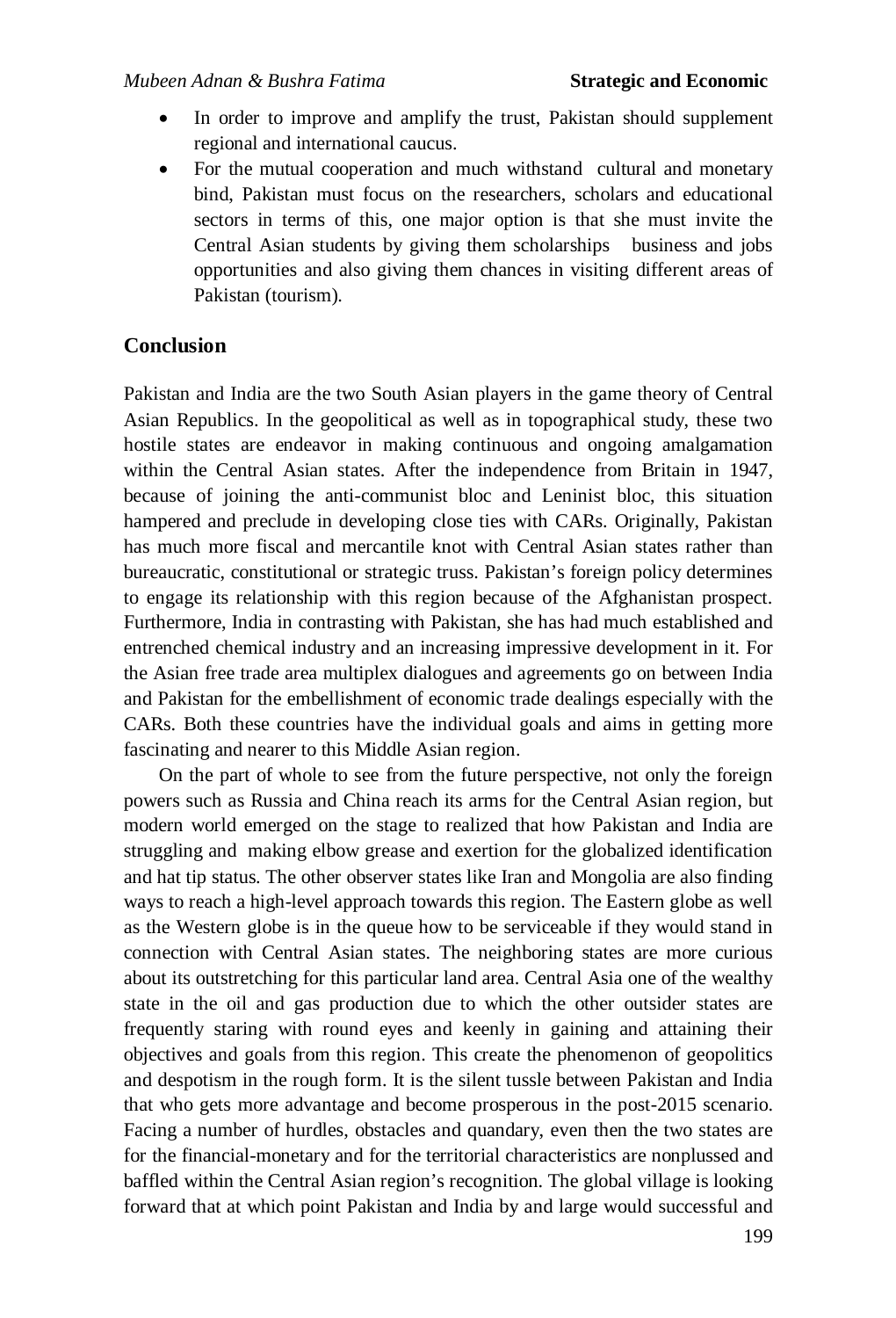#### *Mubeen Adnan & Bushra Fatima Strategic and Economic*

- In order to improve and amplify the trust, Pakistan should supplement regional and international caucus.
- For the mutual cooperation and much withstand cultural and monetary bind, Pakistan must focus on the researchers, scholars and educational sectors in terms of this, one major option is that she must invite the Central Asian students by giving them scholarships business and jobs opportunities and also giving them chances in visiting different areas of Pakistan (tourism).

### **Conclusion**

Pakistan and India are the two South Asian players in the game theory of Central Asian Republics. In the geopolitical as well as in topographical study, these two hostile states are endeavor in making continuous and ongoing amalgamation within the Central Asian states. After the independence from Britain in 1947, because of joining the anti-communist bloc and Leninist bloc, this situation hampered and preclude in developing close ties with CARs. Originally, Pakistan has much more fiscal and mercantile knot with Central Asian states rather than bureaucratic, constitutional or strategic truss. Pakistan's foreign policy determines to engage its relationship with this region because of the Afghanistan prospect. Furthermore, India in contrasting with Pakistan, she has had much established and entrenched chemical industry and an increasing impressive development in it. For the Asian free trade area multiplex dialogues and agreements go on between India and Pakistan for the embellishment of economic trade dealings especially with the CARs. Both these countries have the individual goals and aims in getting more fascinating and nearer to this Middle Asian region.

On the part of whole to see from the future perspective, not only the foreign powers such as Russia and China reach its arms for the Central Asian region, but modern world emerged on the stage to realized that how Pakistan and India are struggling and making elbow grease and exertion for the globalized identification and hat tip status. The other observer states like Iran and Mongolia are also finding ways to reach a high-level approach towards this region. The Eastern globe as well as the Western globe is in the queue how to be serviceable if they would stand in connection with Central Asian states. The neighboring states are more curious about its outstretching for this particular land area. Central Asia one of the wealthy state in the oil and gas production due to which the other outsider states are frequently staring with round eyes and keenly in gaining and attaining their objectives and goals from this region. This create the phenomenon of geopolitics and despotism in the rough form. It is the silent tussle between Pakistan and India that who gets more advantage and become prosperous in the post-2015 scenario. Facing a number of hurdles, obstacles and quandary, even then the two states are for the financial-monetary and for the territorial characteristics are nonplussed and baffled within the Central Asian region's recognition. The global village is looking forward that at which point Pakistan and India by and large would successful and